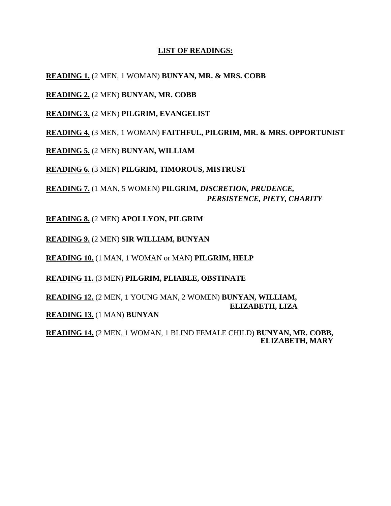# **LIST OF READINGS:**

**READING 1.** (2 MEN, 1 WOMAN) **BUNYAN, MR. & MRS. COBB**

**READING 2.** (2 MEN) **BUNYAN, MR. COBB**

**READING 3.** (2 MEN) **PILGRIM, EVANGELIST**

**READING 4.** (3 MEN, 1 WOMAN) **FAITHFUL, PILGRIM, MR. & MRS. OPPORTUNIST**

**READING 5.** (2 MEN) **BUNYAN, WILLIAM**

**READING 6.** (3 MEN) **PILGRIM, TIMOROUS, MISTRUST**

**READING 7.** (1 MAN, 5 WOMEN) **PILGRIM,** *DISCRETION, PRUDENCE, PERSISTENCE, PIETY, CHARITY*

**READING 8.** (2 MEN) **APOLLYON, PILGRIM**

**READING 9.** (2 MEN) **SIR WILLIAM, BUNYAN**

**READING 10.** (1 MAN, 1 WOMAN or MAN) **PILGRIM, HELP**

**READING 11.** (3 MEN) **PILGRIM, PLIABLE, OBSTINATE**

**READING 12.** (2 MEN, 1 YOUNG MAN, 2 WOMEN) **BUNYAN, WILLIAM, ELIZABETH, LIZA**

**READING 13.** (1 MAN) **BUNYAN**

**READING 14.** (2 MEN, 1 WOMAN, 1 BLIND FEMALE CHILD) **BUNYAN, MR. COBB, ELIZABETH, MARY**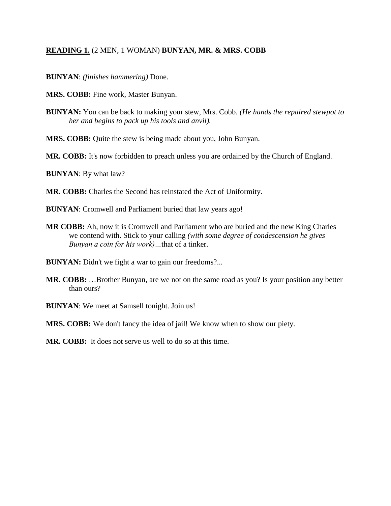## **READING 1.** (2 MEN, 1 WOMAN) **BUNYAN, MR. & MRS. COBB**

- **BUNYAN**: *(finishes hammering)* Done.
- **MRS. COBB:** Fine work, Master Bunyan.
- **BUNYAN:** You can be back to making your stew, Mrs. Cobb. *(He hands the repaired stewpot to her and begins to pack up his tools and anvil).*
- **MRS. COBB:** Quite the stew is being made about you, John Bunyan.
- **MR. COBB:** It's now forbidden to preach unless you are ordained by the Church of England.
- **BUNYAN**: By what law?
- **MR. COBB:** Charles the Second has reinstated the Act of Uniformity.
- **BUNYAN**: Cromwell and Parliament buried that law years ago!
- **MR COBB:** Ah, now it is Cromwell and Parliament who are buried and the new King Charles we contend with. Stick to your calling *(with some degree of condescension he gives Bunyan a coin for his work)…*that of a tinker.
- **BUNYAN:** Didn't we fight a war to gain our freedoms?...
- **MR. COBB:** …Brother Bunyan, are we not on the same road as you? Is your position any better than ours?
- **BUNYAN**: We meet at Samsell tonight. Join us!
- **MRS. COBB:** We don't fancy the idea of jail! We know when to show our piety.
- **MR. COBB:** It does not serve us well to do so at this time.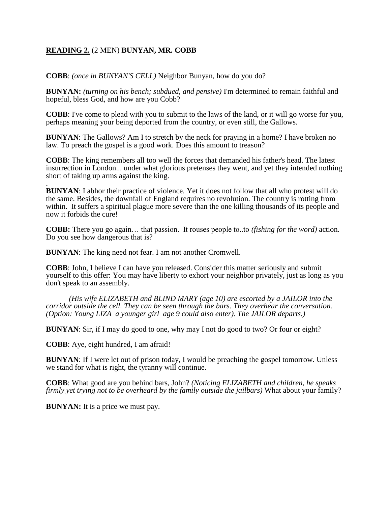## **READING 2.** (2 MEN) **BUNYAN, MR. COBB**

**COBB**: *(once in BUNYAN'S CELL)* Neighbor Bunyan, how do you do?

**BUNYAN:** *(turning on his bench; subdued, and pensive)* I'm determined to remain faithful and hopeful, bless God, and how are you Cobb?

**COBB**: I've come to plead with you to submit to the laws of the land, or it will go worse for you, perhaps meaning your being deported from the country, or even still, the Gallows.

**BUNYAN**: The Gallows? Am I to stretch by the neck for praying in a home? I have broken no law. To preach the gospel is a good work. Does this amount to treason?

**COBB**: The king remembers all too well the forces that demanded his father's head. The latest insurrection in London... under what glorious pretenses they went, and yet they intended nothing short of taking up arms against the king.

. **BUNYAN**: I abhor their practice of violence. Yet it does not follow that all who protest will do the same. Besides, the downfall of England requires no revolution. The country is rotting from within. It suffers a spiritual plague more severe than the one killing thousands of its people and now it forbids the cure!

**COBB:** There you go again… that passion. It rouses people to..to *(fishing for the word)* action. Do you see how dangerous that is?

**BUNYAN**: The king need not fear. I am not another Cromwell.

**COBB**: John, I believe I can have you released. Consider this matter seriously and submit yourself to this offer: You may have liberty to exhort your neighbor privately, just as long as you don't speak to an assembly.

*(His wife ELIZABETH and BLIND MARY (age 10) are escorted by a JAILOR into the corridor outside the cell. They can be seen through the bars. They overhear the conversation. (Option: Young LIZA a younger girl age 9 could also enter). The JAILOR departs.)*

**BUNYAN**: Sir, if I may do good to one, why may I not do good to two? Or four or eight?

**COBB**: Aye, eight hundred, I am afraid!

**BUNYAN**: If I were let out of prison today, I would be preaching the gospel tomorrow. Unless we stand for what is right, the tyranny will continue.

**COBB**: What good are you behind bars, John? *(Noticing ELIZABETH and children, he speaks firmly yet trying not to be overheard by the family outside the jailbars)* What about your family?

**BUNYAN:** It is a price we must pay.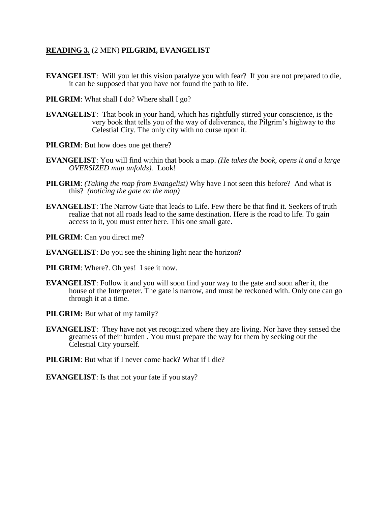#### **READING 3.** (2 MEN) **PILGRIM, EVANGELIST**

**EVANGELIST:** Will you let this vision paralyze you with fear? If you are not prepared to die, it can be supposed that you have not found the path to life.

**PILGRIM**: What shall I do? Where shall I go?

- **EVANGELIST**: That book in your hand, which has rightfully stirred your conscience, is the very book that tells you of the way of deliverance, the Pilgrim's highway to the Celestial City. The only city with no curse upon it.
- **PILGRIM**: But how does one get there?
- **EVANGELIST**: You will find within that book a map. *(He takes the book, opens it and a large OVERSIZED map unfolds).* Look!
- **PILGRIM**: *(Taking the map from Evangelist)* Why have I not seen this before? And what is this? *(noticing the gate on the map)*
- **EVANGELIST**: The Narrow Gate that leads to Life. Few there be that find it. Seekers of truth realize that not all roads lead to the same destination. Here is the road to life. To gain access to it, you must enter here. This one small gate.
- **PILGRIM**: Can you direct me?
- **EVANGELIST**: Do you see the shining light near the horizon?
- **PILGRIM:** Where?. Oh yes! I see it now.
- **EVANGELIST**: Follow it and you will soon find your way to the gate and soon after it, the house of the Interpreter. The gate is narrow, and must be reckoned with. Only one can go through it at a time.
- **PILGRIM:** But what of my family?
- **EVANGELIST**: They have not yet recognized where they are living. Nor have they sensed the greatness of their burden . You must prepare the way for them by seeking out the Celestial City yourself.
- **PILGRIM**: But what if I never come back? What if I die?

**EVANGELIST**: Is that not your fate if you stay?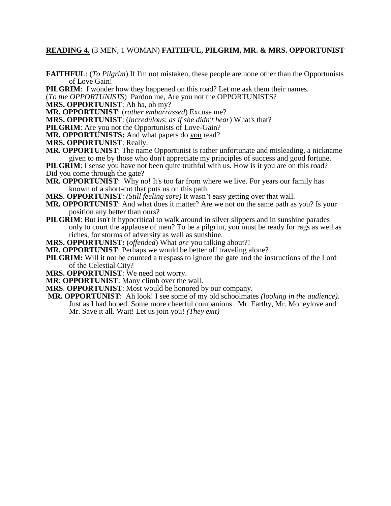#### **READING 4.** (3 MEN, 1 WOMAN) **FAITHFUL, PILGRIM, MR. & MRS. OPPORTUNIST**

**FAITHFUL**: (*To Pilgrim*) If I'm not mistaken, these people are none other than the Opportunists of Love Gain!

**PILGRIM**: I wonder how they happened on this road? Let me ask them their names.

(*To the OPPORTUNISTS*) Pardon me, Are you not the OPPORTUNISTS?

**MRS. OPPORTUNIST**: Ah ha, oh my?

**MR. OPPORTUNIST**: (*rather embarrassed*) Excuse me?

**MRS. OPPORTUNIST**: (*incredulous*; *as if she didn't hear*) What's that?

**PILGRIM**: Are you not the Opportunists of Love-Gain?

**MR. OPPORTUNISTS:** And what papers do you read?

**MRS. OPPORTUNIST**: Really.

**MR. OPPORTUNIST**: The name Opportunist is rather unfortunate and misleading, a nickname given to me by those who don't appreciate my principles of success and good fortune.

**PILGRIM**: I sense you have not been quite truthful with us. How is it you are on this road? Did you come through the gate?

**MR. OPPORTUNIST**: Why no! It's too far from where we live. For years our family has known of a short-cut that puts us on this path.

**MRS. OPPORTUNIST**: *(Still feeling sore)* It wasn't easy getting over that wall.

- **MR. OPPORTUNIST**: And what does it matter? Are we not on the same path as you? Is your position any better than ours?
- **PILGRIM**: But isn't it hypocritical to walk around in silver slippers and in sunshine parades only to court the applause of men? To be a pilgrim, you must be ready for rags as well as riches, for storms of adversity as well as sunshine.

**MRS. OPPORTUNIST:** (*offended*) What *are* you talking about?!

**MR. OPPORTUNIST**: Perhaps we would be better off traveling alone?

**PILGRIM:** Will it not be counted a trespass to ignore the gate and the instructions of the Lord of the Celestial City?

**MRS. OPPORTUNIST**: We need not worry.

**MR**: **OPPORTUNIST**: Many climb over the wall.

**MRS**. **OPPORTUNIST**: Most would be honored by our company.

**MR. OPPORTUNIST**: Ah look! I see some of my old schoolmates *(looking in the audience)*. Just as I had hoped. Some more cheerful companions . Mr. Earthy, Mr. Moneylove and Mr. Save it all. Wait! Let us join you! *(They exit)*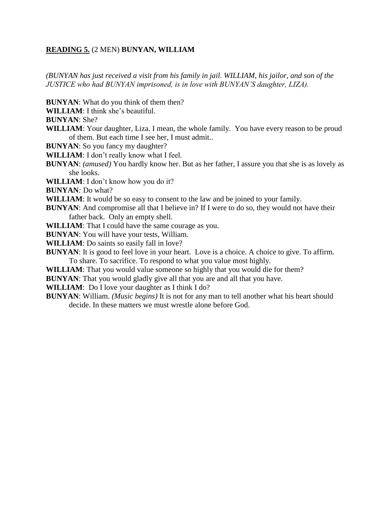## **READING 5.** (2 MEN) **BUNYAN, WILLIAM**

*(BUNYAN has just received a visit from his family in jail. WILLIAM, his jailor, and son of the JUSTICE who had BUNYAN imprisoned, is in love with BUNYAN'S daughter, LIZA).*

**BUNYAN**: What do you think of them then?

**WILLIAM**: I think she's beautiful.

**BUNYAN**: She?

**WILLIAM**: Your daughter, Liza. I mean, the whole family. You have every reason to be proud of them. But each time I see her, I must admit..

**BUNYAN**: So you fancy my daughter?

**WILLIAM**: I don't really know what I feel.

- **BUNYAN**: *(amused)* You hardly know her. But as her father, I assure you that she is as lovely as she looks.
- **WILLIAM**: I don't know how you do it?

**BUNYAN***:* Do what?

**WILLIAM**: It would be so easy to consent to the law and be joined to your family.

**BUNYAN:** And compromise all that I believe in? If I were to do so, they would not have their father back. Only an empty shell.

**WILLIAM**: That I could have the same courage as you.

**BUNYAN**: You will have your tests, William.

**WILLIAM**: Do saints so easily fall in love?

**BUNYAN:** It is good to feel love in your heart. Love is a choice. A choice to give. To affirm. To share. To sacrifice. To respond to what you value most highly.

**WILLIAM**: That you would value someone so highly that you would die for them?

**BUNYAN**: That you would gladly give all that you are and all that you have.

**WILLIAM**: Do I love your daughter as I think I do?

**BUNYAN**: William. *(Music begins)* It is not for any man to tell another what his heart should decide. In these matters we must wrestle alone before God.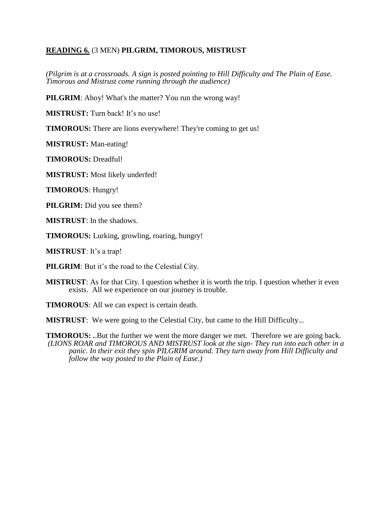# **READING 6.** (3 MEN) **PILGRIM, TIMOROUS, MISTRUST**

*(Pilgrim is at a crossroads. A sign is posted pointing to Hill Difficulty and The Plain of Ease. Timorous and Mistrust come running through the audience)*

**PILGRIM**: Ahoy! What's the matter? You run the wrong way!

**MISTRUST:** Turn back! It's no use!

**TIMOROUS:** There are lions everywhere! They're coming to get us!

**MISTRUST:** Man-eating!

**TIMOROUS:** Dreadful!

**MISTRUST:** Most likely underfed!

**TIMOROUS**: Hungry!

**PILGRIM:** Did you see them?

**MISTRUST**: In the shadows.

**TIMOROUS:** Lurking, growling, roaring, hungry!

**MISTRUST**: It's a trap!

**PILGRIM**: But it's the road to the Celestial City.

**MISTRUST**: As for that City. I question whether it is worth the trip. I question whether it even exists. All we experience on our journey is trouble.

**TIMOROUS**: All we can expect is certain death.

**MISTRUST:** We were going to the Celestial City, but came to the Hill Difficulty...

**TIMOROUS: .**.But the further we went the more danger we met. Therefore we are going back. *(LIONS ROAR and TIMOROUS AND MISTRUST look at the sign- They run into each other in a panic. In their exit they spin PILGRIM around. They turn away from Hill Difficulty and follow the way posted to the Plain of Ease.)*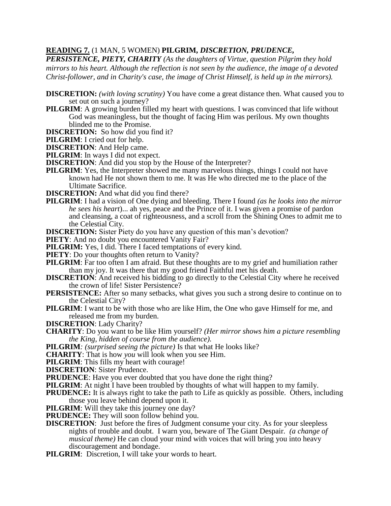## **READING 7.** (1 MAN, 5 WOMEN) **PILGRIM,** *DISCRETION, PRUDENCE,*

*PERSISTENCE, PIETY, CHARITY (As the daughters of Virtue, question Pilgrim they hold mirrors to his heart. Although the reflection is not seen by the audience, the image of a devoted Christ-follower, and in Charity's case, the image of Christ Himself, is held up in the mirrors).*

- **DISCRETION:** *(with loving scrutiny)* You have come a great distance then. What caused you to set out on such a journey?
- **PILGRIM:** A growing burden filled my heart with questions. I was convinced that life without God was meaningless, but the thought of facing Him was perilous. My own thoughts blinded me to the Promise.
- **DISCRETION:** So how did you find it?
- **PILGRIM**: I cried out for help.
- **DISCRETION**: And Help came.

**PILGRIM**: In ways I did not expect.

- **DISCRETION:** And did you stop by the House of the Interpreter?
- **PILGRIM:** Yes, the Interpreter showed me many marvelous things, things I could not have known had He not shown them to me. It was He who directed me to the place of the Ultimate Sacrifice.
- **DISCRETION:** And what did you find there?
- **PILGRIM**: I had a vision of One dying and bleeding. There I found *(as he looks into the mirror he sees his heart*)... ah yes, peace and the Prince of it. I was given a promise of pardon and cleansing, a coat of righteousness, and a scroll from the Shining Ones to admit me to the Celestial City.

**DISCRETION:** Sister Piety do you have any question of this man's devotion?

**PIETY**: And no doubt you encountered Vanity Fair?

**PILGRIM:** Yes, I did. There I faced temptations of every kind.

**PIETY**: Do your thoughts often return to Vanity?

**PILGRIM**: Far too often I am afraid. But these thoughts are to my grief and humiliation rather than my joy. It was there that my good friend Faithful met his death.

- **DISCRETION:** And received his bidding to go directly to the Celestial City where he received the crown of life! Sister Persistence?
- **PERSISTENCE:** After so many setbacks, what gives you such a strong desire to continue on to the Celestial City?
- **PILGRIM**: I want to be with those who are like Him, the One who gave Himself for me, and released me from my burden.
- **DISCRETION**: Lady Charity?
- **CHARITY**: Do you want to be like Him yourself? *(Her mirror shows him a picture resembling the King, hidden of course from the audience).*
- **PILGRIM***: (surprised seeing the picture)* Is that what He looks like?

**CHARITY**: That is how *you* will look when you see Him.

**PILGRIM**: This fills my heart with courage!

**DISCRETION**: Sister Prudence.

**PRUDENCE:** Have you ever doubted that you have done the right thing?

**PILGRIM:** At night I have been troubled by thoughts of what will happen to my family.

- **PRUDENCE:** It is always right to take the path to Life as quickly as possible. Others, including those you leave behind depend upon it.
- **PILGRIM**: Will they take this journey one day?

**PRUDENCE:** They will soon follow behind you.

**DISCRETION:** Just before the fires of Judgment consume your city. As for your sleepless nights of trouble and doubt. I warn you, beware of The Giant Despair. *(a change of musical theme)* He can cloud your mind with voices that will bring you into heavy discouragement and bondage.

**PILGRIM:** Discretion, I will take your words to heart.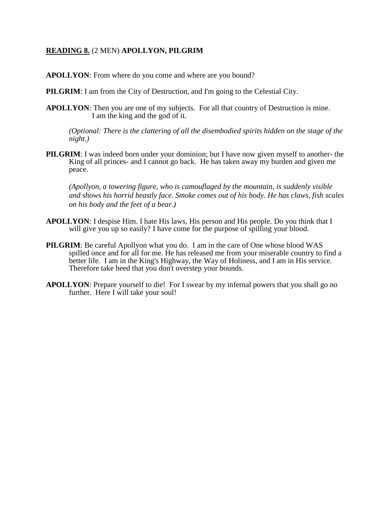# **READING 8.** (2 MEN) **APOLLYON, PILGRIM**

**APOLLYON**: From where do you come and where are you bound?

**PILGRIM:** I am from the City of Destruction, and I'm going to the Celestial City.

**APOLLYON**: Then you are one of my subjects. For all that country of Destruction is mine. I am the king and the god of it.

*(Optional: There is the clattering of all the disembodied spirits hidden on the stage of the night.)*

**PILGRIM**: I was indeed born under your dominion; but I have now given myself to another- the King of all princes- and I cannot go back. He has taken away my burden and given me peace.

*(Apollyon, a towering figure, who is camouflaged by the mountain, is suddenly visible and shows his horrid beastly face. Smoke comes out of his body. He has claws, fish scales on his body and the feet of a bear.)*

- **APOLLYON**: I despise Him. I hate His laws, His person and His people. Do you think that I will give you up so easily? I have come for the purpose of spilling your blood.
- **PILGRIM**: Be careful Apollyon what you do. I am in the care of One whose blood WAS spilled once and for all for me. He has released me from your miserable country to find a better life. I am in the King's Highway, the Way of Holiness, and I am in His service. Therefore take heed that you don't overstep your bounds.
- **APOLLYON**: Prepare yourself to die! For I swear by my infernal powers that you shall go no further. Here I will take your soul!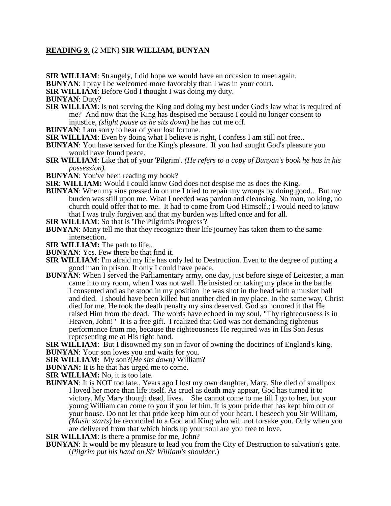## **READING 9.** (2 MEN) **SIR WILLIAM, BUNYAN**

**SIR WILLIAM:** Strangely, I did hope we would have an occasion to meet again.

**BUNYAN**: I pray I be welcomed more favorably than I was in your court.

**SIR WILLIAM**: Before God I thought I was doing my duty.

**BUNYAN**: Duty?

- **SIR WILLIAM:** Is not serving the King and doing my best under God's law what is required of me? And now that the King has despised me because I could no longer consent to injustice, *(slight pause as he sits down)* he has cut me off.
- **BUNYAN:** I am sorry to hear of your lost fortune.
- **SIR WILLIAM**: Even by doing what I believe is right, I confess I am still not free..
- **BUNYAN**: You have served for the King's pleasure. If you had sought God's pleasure you would have found peace.
- **SIR WILLIAM**: Like that of your 'Pilgrim'. *(He refers to a copy of Bunyan's book he has in his possession).*
- **BUNYAN**: You've been reading my book?
- **SIR**: **WILLIAM:** Would I could know God does not despise me as does the King.
- **BUNYAN**: When my sins pressed in on me I tried to repair my wrongs by doing good.. But my burden was still upon me. What I needed was pardon and cleansing. No man, no king, no church could offer that to me. It had to come from God Himself.; I would need to know that I was truly forgiven and that my burden was lifted once and for all.

**SIR WILLIAM**: So that is 'The Pilgrim's Progress'?

- **BUNYAN**: Many tell me that they recognize their life journey has taken them to the same intersection.
- **SIR WILLIAM:** The path to life..
- **BUNYAN**: Yes. Few there be that find it.
- **SIR WILLIAM**: I'm afraid my life has only led to Destruction. Even to the degree of putting a good man in prison. If only I could have peace.
- **BUNYAN**: When I served the Parliamentary army, one day, just before siege of Leicester, a man came into my room, when I was not well. He insisted on taking my place in the battle. I consented and as he stood in my position he was shot in the head with a musket ball and died. I should have been killed but another died in my place. In the same way, Christ died for me. He took the death penalty my sins deserved. God so honored it that He raised Him from the dead. The words have echoed in my soul, "Thy righteousness is in Heaven, John!" It is a free gift. I realized that God was not demanding righteous performance from me, because the righteousness He required was in His Son Jesus representing me at His right hand.

**SIR WILLIAM:** But I disowned my son in favor of owning the doctrines of England's king. **BUNYAN**: Your son loves you and waits for you.

**SIR WILLIAM:** My son?(*He sits down)* William?

**BUNYAN:** It is he that has urged me to come.

**SIR WILLIAM:** No, it is too late.

**BUNYAN**: It is NOT too late.. Years ago I lost my own daughter, Mary. She died of smallpox I loved her more than life itself. As cruel as death may appear, God has turned it to victory. My Mary though dead, lives. She cannot come to me till I go to her, but your young William can come to you if you let him. It is your pride that has kept him out of your house. Do not let that pride keep him out of your heart. I beseech you Sir William, *(Music starts)* be reconciled to a God and King who will not forsake you. Only when you are delivered from that which binds up your soul are you free to love.

**SIR WILLIAM**: Is there a promise for me, John?

**BUNYAN**: It would be my pleasure to lead you from the City of Destruction to salvation's gate. (*Pilgrim put his hand on Sir William's shoulder*.)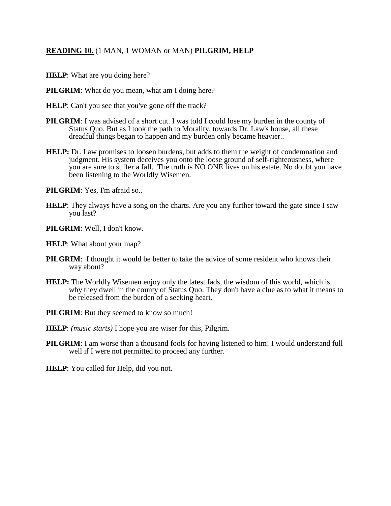# **READING 10.** (1 MAN, 1 WOMAN or MAN) **PILGRIM, HELP**

- **HELP**: What are you doing here?
- **PILGRIM:** What do you mean, what am I doing here?
- **HELP**: Can't you see that you've gone off the track?
- **PILGRIM**: I was advised of a short cut. I was told I could lose my burden in the county of Status Quo. But as I took the path to Morality, towards Dr. Law's house, all these dreadful things began to happen and my burden only became heavier..
- **HELP:** Dr. Law promises to loosen burdens, but adds to them the weight of condemnation and judgment. His system deceives you onto the loose ground of self-righteousness, where you are sure to suffer a fall. The truth is NO ONE lives on his estate. No doubt you have been listening to the Worldly Wisemen.
- **PILGRIM**: Yes, I'm afraid so..
- **HELP**: They always have a song on the charts. Are you any further toward the gate since I saw you last?
- **PILGRIM**: Well, I don't know.
- **HELP**: What about your map?
- **PILGRIM**: I thought it would be better to take the advice of some resident who knows their way about?
- **HELP:** The Worldly Wisemen enjoy only the latest fads, the wisdom of this world, which is why they dwell in the county of Status Quo. They don't have a clue as to what it means to be released from the burden of a seeking heart.
- **PILGRIM**: But they seemed to know so much!
- **HELP**: *(music starts)* I hope you are wiser for this, Pilgrim.
- **PILGRIM**: I am worse than a thousand fools for having listened to him! I would understand full well if I were not permitted to proceed any further.
- **HELP**: You called for Help, did you not.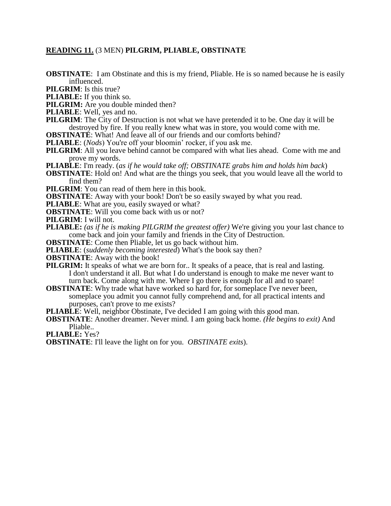#### **READING 11.** (3 MEN) **PILGRIM, PLIABLE, OBSTINATE**

**OBSTINATE:** I am Obstinate and this is my friend, Pliable. He is so named because he is easily influenced.

**PILGRIM**: Is this true?

**PLIABLE:** If you think so.

**PILGRIM:** Are you double minded then?

**PLIABLE**: Well, yes and no.

**PILGRIM**: The City of Destruction is not what we have pretended it to be. One day it will be destroyed by fire. If you really knew what was in store, you would come with me.

**OBSTINATE:** What! And leave all of our friends and our comforts behind?

**PLIABLE**: (*Nods*) You're off your bloomin' rocker, if you ask me.

**PILGRIM**: All you leave behind cannot be compared with what lies ahead. Come with me and prove my words.

**PLIABLE**: I'm ready. (*as if he would take off; OBSTINATE grabs him and holds him back*)

**OBSTINATE:** Hold on! And what are the things you seek, that you would leave all the world to find them?

**PILGRIM:** You can read of them here in this book.

**OBSTINATE:** Away with your book! Don't be so easily swayed by what you read.

**PLIABLE**: What are you, easily swayed or what?

**OBSTINATE:** Will you come back with us or not?

**PILGRIM**: I will not.

**PLIABLE:** *(as if he is making PILGRIM the greatest offer)* We're giving you your last chance to come back and join your family and friends in the City of Destruction.

**OBSTINATE**: Come then Pliable, let us go back without him.

**PLIABLE**: (*suddenly becoming interested*) What's the book say then?

**OBSTINATE**: Away with the book!

**PILGRIM:** It speaks of what we are born for.. It speaks of a peace, that is real and lasting. I don't understand it all. But what I do understand is enough to make me never want to turn back. Come along with me. Where I go there is enough for all and to spare!

**OBSTINATE:** Why trade what have worked so hard for, for someplace I've never been, someplace you admit you cannot fully comprehend and, for all practical intents and purposes, can't prove to me exists?

**PLIABLE**: Well, neighbor Obstinate, I've decided I am going with this good man.

**OBSTINATE**: Another dreamer. Never mind. I am going back home. *(He begins to exit)* And Pliable..

**PLIABLE:** Yes?

**OBSTINATE**: I'll leave the light on for you. *OBSTINATE exits*).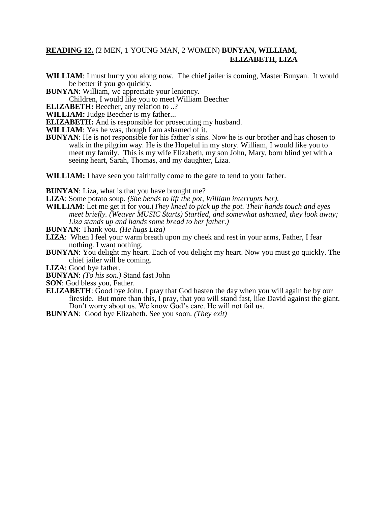## **READING 12.** (2 MEN, 1 YOUNG MAN, 2 WOMEN) **BUNYAN, WILLIAM, ELIZABETH, LIZA**

- **WILLIAM**: I must hurry you along now. The chief jailer is coming, Master Bunyan. It would be better if you go quickly.
- **BUNYAN**: William, we appreciate your leniency.

Children, I would like you to meet William Beecher

**ELIZABETH:** Beecher, any relation to **..**?

**WILLIAM:** Judge Beecher is my father...

**ELIZABETH:** And is responsible for prosecuting my husband.

**WILLIAM**: Yes he was, though I am ashamed of it.

**BUNYAN**: He is not responsible for his father's sins. Now he is our brother and has chosen to walk in the pilgrim way. He is the Hopeful in my story. William, I would like you to meet my family. This is my wife Elizabeth, my son John, Mary, born blind yet with a seeing heart, Sarah, Thomas, and my daughter, Liza.

**WILLIAM:** I have seen you faithfully come to the gate to tend to your father.

**BUNYAN**: Liza, what is that you have brought me?

- **LIZA**: Some potato soup. *(She bends to lift the pot, William interrupts her).*
- **WILLIAM**: Let me get it for you.(*They kneel to pick up the pot. Their hands touch and eyes meet briefly. (Weaver MUSIC Starts) Startled, and somewhat ashamed, they look away; Liza stands up and hands some bread to her father.)*

**BUNYAN**: Thank you*. (He hugs Liza)*

- **LIZA**: When I feel your warm breath upon my cheek and rest in your arms, Father, I fear nothing. I want nothing.
- **BUNYAN**: You delight my heart. Each of you delight my heart. Now you must go quickly. The chief jailer will be coming.
- **LIZA**: Good bye father.
- **BUNYAN**: *(To his son.)* Stand fast John

**SON**: God bless you, Father.

**ELIZABETH:** Good bye John. I pray that God hasten the day when you will again be by our fireside. But more than this, I pray, that you will stand fast, like David against the giant. Don't worry about us. We know God's care. He will not fail us.

**BUNYAN**: Good bye Elizabeth. See you soon. *(They exit)*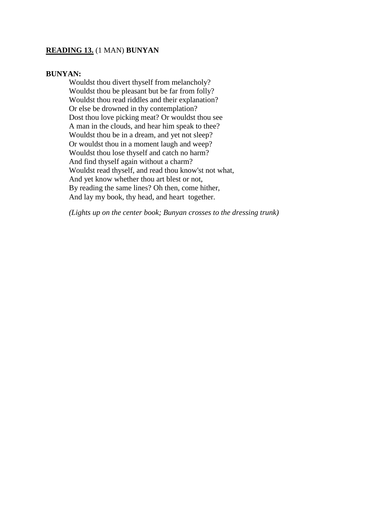# **READING 13.** (1 MAN) **BUNYAN**

## **BUNYAN:**

Wouldst thou divert thyself from melancholy? Wouldst thou be pleasant but be far from folly? Wouldst thou read riddles and their explanation? Or else be drowned in thy contemplation? Dost thou love picking meat? Or wouldst thou see A man in the clouds, and hear him speak to thee? Wouldst thou be in a dream, and yet not sleep? Or wouldst thou in a moment laugh and weep? Wouldst thou lose thyself and catch no harm? And find thyself again without a charm? Wouldst read thyself, and read thou know'st not what, And yet know whether thou art blest or not, By reading the same lines? Oh then, come hither, And lay my book, thy head, and heart together.

*(Lights up on the center book; Bunyan crosses to the dressing trunk)*